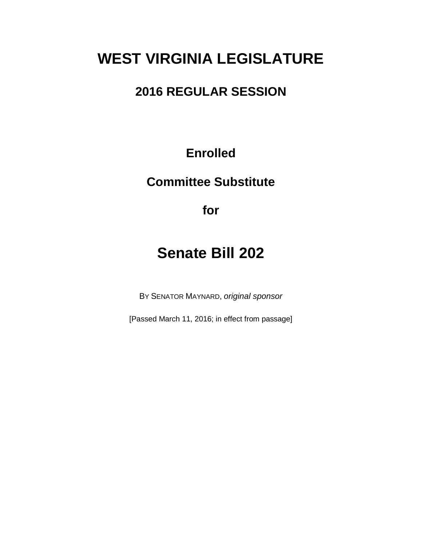# **WEST VIRGINIA LEGISLATURE**

# **2016 REGULAR SESSION**

**Enrolled**

**Committee Substitute**

**for**

# **Senate Bill 202**

BY SENATOR MAYNARD, *original sponsor*

[Passed March 11, 2016; in effect from passage]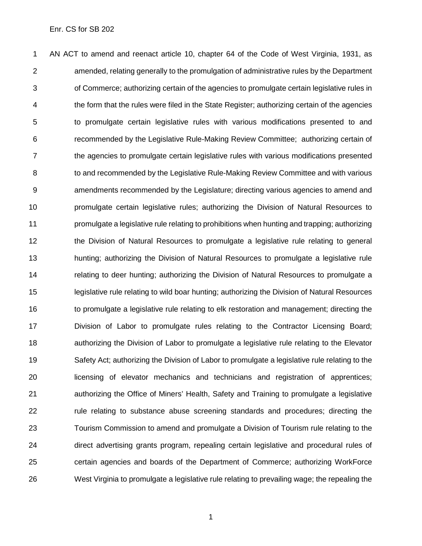AN ACT to amend and reenact article 10, chapter 64 of the Code of West Virginia, 1931, as amended, relating generally to the promulgation of administrative rules by the Department of Commerce; authorizing certain of the agencies to promulgate certain legislative rules in the form that the rules were filed in the State Register; authorizing certain of the agencies to promulgate certain legislative rules with various modifications presented to and recommended by the Legislative Rule-Making Review Committee; authorizing certain of the agencies to promulgate certain legislative rules with various modifications presented 8 to and recommended by the Legislative Rule-Making Review Committee and with various amendments recommended by the Legislature; directing various agencies to amend and promulgate certain legislative rules; authorizing the Division of Natural Resources to promulgate a legislative rule relating to prohibitions when hunting and trapping; authorizing the Division of Natural Resources to promulgate a legislative rule relating to general hunting; authorizing the Division of Natural Resources to promulgate a legislative rule relating to deer hunting; authorizing the Division of Natural Resources to promulgate a legislative rule relating to wild boar hunting; authorizing the Division of Natural Resources to promulgate a legislative rule relating to elk restoration and management; directing the Division of Labor to promulgate rules relating to the Contractor Licensing Board; authorizing the Division of Labor to promulgate a legislative rule relating to the Elevator Safety Act; authorizing the Division of Labor to promulgate a legislative rule relating to the licensing of elevator mechanics and technicians and registration of apprentices; authorizing the Office of Miners' Health, Safety and Training to promulgate a legislative rule relating to substance abuse screening standards and procedures; directing the Tourism Commission to amend and promulgate a Division of Tourism rule relating to the direct advertising grants program, repealing certain legislative and procedural rules of certain agencies and boards of the Department of Commerce; authorizing WorkForce West Virginia to promulgate a legislative rule relating to prevailing wage; the repealing the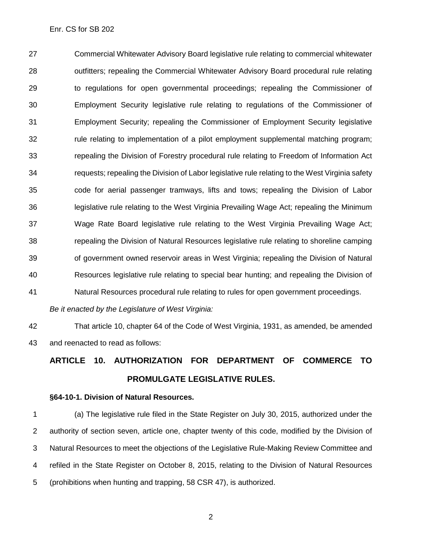Commercial Whitewater Advisory Board legislative rule relating to commercial whitewater outfitters; repealing the Commercial Whitewater Advisory Board procedural rule relating to regulations for open governmental proceedings; repealing the Commissioner of Employment Security legislative rule relating to regulations of the Commissioner of Employment Security; repealing the Commissioner of Employment Security legislative rule relating to implementation of a pilot employment supplemental matching program; repealing the Division of Forestry procedural rule relating to Freedom of Information Act requests; repealing the Division of Labor legislative rule relating to the West Virginia safety code for aerial passenger tramways, lifts and tows; repealing the Division of Labor legislative rule relating to the West Virginia Prevailing Wage Act; repealing the Minimum Wage Rate Board legislative rule relating to the West Virginia Prevailing Wage Act; repealing the Division of Natural Resources legislative rule relating to shoreline camping of government owned reservoir areas in West Virginia; repealing the Division of Natural Resources legislative rule relating to special bear hunting; and repealing the Division of Natural Resources procedural rule relating to rules for open government proceedings.

*Be it enacted by the Legislature of West Virginia:*

 That article 10, chapter 64 of the Code of West Virginia, 1931, as amended, be amended and reenacted to read as follows:

# **ARTICLE 10. AUTHORIZATION FOR DEPARTMENT OF COMMERCE TO PROMULGATE LEGISLATIVE RULES.**

#### **§64-10-1. Division of Natural Resources.**

 (a) The legislative rule filed in the State Register on July 30, 2015, authorized under the authority of section seven, article one, chapter twenty of this code, modified by the Division of Natural Resources to meet the objections of the Legislative Rule-Making Review Committee and refiled in the State Register on October 8, 2015, relating to the Division of Natural Resources (prohibitions when hunting and trapping, 58 [CSR](http://apps.sos.wv.gov/adlaw/csr/readfile.aspx?DocId=27167&Format=PDF) 47), is authorized.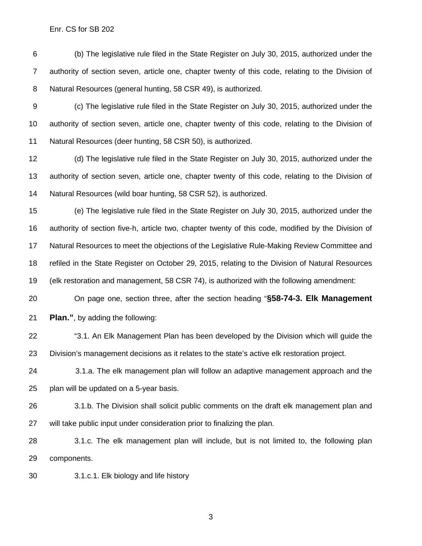(b) The legislative rule filed in the State Register on July 30, 2015, authorized under the authority of section seven, article one, chapter twenty of this code, relating to the Division of Natural Resources (general hunting, 58 [CSR](http://apps.sos.wv.gov/adlaw/csr/readfile.aspx?DocId=26977&Format=PDF) 49), is authorized.

 (c) The legislative rule filed in the State Register on July 30, 2015, authorized under the authority of section seven, article one, chapter twenty of this code, relating to the Division of Natural Resources (deer hunting, 58 [CSR](http://apps.sos.wv.gov/adlaw/csr/readfile.aspx?DocId=26978&Format=PDF) 50), is authorized.

 (d) The legislative rule filed in the State Register on July 30, 2015, authorized under the authority of section seven, article one, chapter twenty of this code, relating to the Division of Natural Resources (wild boar hunting, 58 [CSR](http://apps.sos.wv.gov/adlaw/csr/readfile.aspx?DocId=26979&Format=PDF) 52), is authorized.

 (e) The legislative rule filed in the State Register on July 30, 2015, authorized under the authority of section five-h, article two, chapter twenty of this code, modified by the Division of Natural Resources to meet the objections of the Legislative Rule-Making Review Committee and refiled in the State Register on October 29, 2015, relating to the Division of Natural Resources (elk restoration and management, 58 [CSR](http://apps.sos.wv.gov/adlaw/csr/readfile.aspx?DocId=27238&Format=PDF) 74), is authorized with the following amendment:

On page one, section three, after the section heading "**§58-74-3. Elk Management** 

**Plan."**, by adding the following:

 "3.1. An Elk Management Plan has been developed by the Division which will guide the Division's management decisions as it relates to the state's active elk restoration project.

 3.1.a. The elk management plan will follow an adaptive management approach and the plan will be updated on a 5-year basis.

 3.1.b. The Division shall solicit public comments on the draft elk management plan and will take public input under consideration prior to finalizing the plan.

 3.1.c. The elk management plan will include, but is not limited to, the following plan components.

3.1.c.1. Elk biology and life history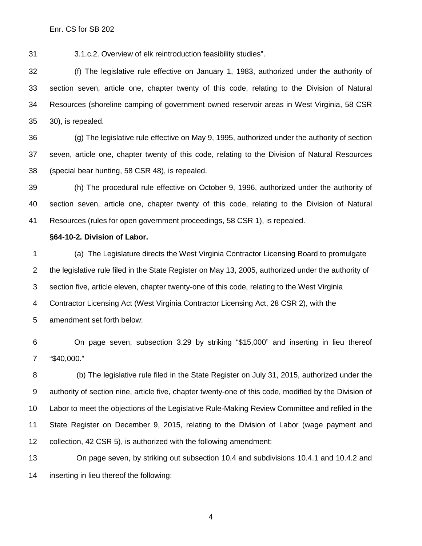3.1.c.2. Overview of elk reintroduction feasibility studies".

 (f) The legislative rule effective on January 1, 1983, authorized under the authority of section seven, article one, chapter twenty of this code, relating to the Division of Natural Resources (shoreline camping of government owned reservoir areas in West Virginia, 58 CSR 30), is repealed.

 (g) The legislative rule effective on May 9, 1995, authorized under the authority of section seven, article one, chapter twenty of this code, relating to the Division of Natural Resources (special bear hunting, 58 CSR 48), is repealed.

 (h) The procedural rule effective on October 9, 1996, authorized under the authority of section seven, article one, chapter twenty of this code, relating to the Division of Natural Resources (rules for open government proceedings, 58 CSR 1), is repealed.

### **§64-10-2. Division of Labor.**

 (a) The Legislature directs the West Virginia Contractor Licensing Board to promulgate the legislative rule filed in the State Register on May 13, 2005, authorized under the authority of section five, article eleven, chapter twenty-one of this code, relating to the West Virginia Contractor Licensing Act (West Virginia Contractor Licensing Act, 28 CSR 2), with the amendment set forth below:

 On page seven, subsection 3.29 by striking "\$15,000" and inserting in lieu thereof "\$40,000."

 (b) The legislative rule filed in the State Register on July 31, 2015, authorized under the authority of section nine, article five, chapter twenty-one of this code, modified by the Division of Labor to meet the objections of the Legislative Rule-Making Review Committee and refiled in the State Register on December 9, 2015, relating to the Division of Labor (wage payment and collection, 42 [CSR](http://apps.sos.wv.gov/adlaw/csr/readfile.aspx?DocId=27338&Format=PDF) 5), is authorized with the following amendment:

 On page seven, by striking out subsection 10.4 and subdivisions 10.4.1 and 10.4.2 and inserting in lieu thereof the following: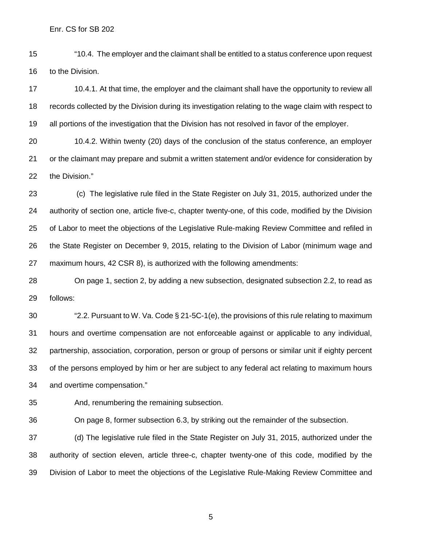"10.4. The employer and the claimant shall be entitled to a status conference upon request to the Division.

17 10.4.1. At that time, the employer and the claimant shall have the opportunity to review all records collected by the Division during its investigation relating to the wage claim with respect to all portions of the investigation that the Division has not resolved in favor of the employer.

 10.4.2. Within twenty (20) days of the conclusion of the status conference, an employer or the claimant may prepare and submit a written statement and/or evidence for consideration by the Division."

 (c) The legislative rule filed in the State Register on July 31, 2015, authorized under the authority of section one, article five-c, chapter twenty-one, of this code, modified by the Division of Labor to meet the objections of the Legislative Rule-making Review Committee and refiled in the State Register on December 9, 2015, relating to the Division of Labor (minimum wage and maximum hours, 42 CSR 8), is authorized with the following amendments:

 On page 1, section 2, by adding a new subsection, designated subsection 2.2, to read as follows:

 "2.2. Pursuant to W. Va. Code § 21-5C-1(e), the provisions of this rule relating to maximum hours and overtime compensation are not enforceable against or applicable to any individual, partnership, association, corporation, person or group of persons or similar unit if eighty percent of the persons employed by him or her are subject to any federal act relating to maximum hours and overtime compensation."

And, renumbering the remaining subsection.

On page 8, former subsection 6.3, by striking out the remainder of the subsection.

 (d) The legislative rule filed in the State Register on July 31, 2015, authorized under the authority of section eleven, article three-c, chapter twenty-one of this code, modified by the Division of Labor to meet the objections of the Legislative Rule-Making Review Committee and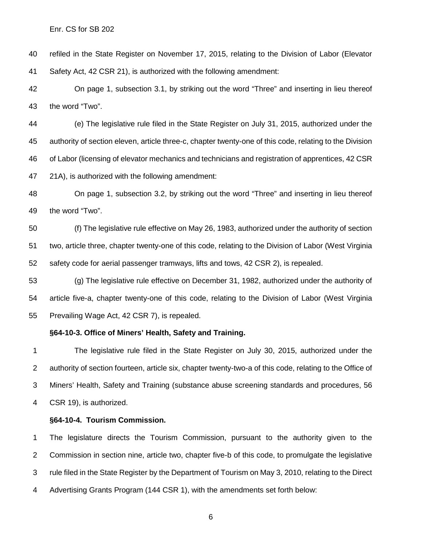refiled in the State Register on November 17, 2015, relating to the Division of Labor (Elevator Safety Act, 42 [CSR](http://apps.sos.wv.gov/adlaw/csr/readfile.aspx?DocId=27272&Format=PDF) 21), is authorized with the following amendment:

 On page 1, subsection 3.1, by striking out the word "Three" and inserting in lieu thereof the word "Two".

 (e) The legislative rule filed in the State Register on July 31, 2015, authorized under the authority of section eleven, article three-c, chapter twenty-one of this code, relating to the Division of Labor (licensing of elevator mechanics and technicians and registration of apprentices, 42 [CSR](http://apps.sos.wv.gov/adlaw/csr/readfile.aspx?DocId=27056&Format=PDF) 21A), is authorized with the following amendment:

 On page 1, subsection 3.2, by striking out the word "Three" and inserting in lieu thereof the word "Two".

 (f) The legislative rule effective on May 26, 1983, authorized under the authority of section two, article three, chapter twenty-one of this code, relating to the Division of Labor (West Virginia safety code for aerial passenger tramways, lifts and tows, 42 CSR 2), is repealed.

 (g) The legislative rule effective on December 31, 1982, authorized under the authority of article five-a, chapter twenty-one of this code, relating to the Division of Labor (West Virginia Prevailing Wage Act, 42 CSR 7), is repealed.

### **§64-10-3. Office of Miners' Health, Safety and Training.**

 The legislative rule filed in the State Register on July 30, 2015, authorized under the authority of section fourteen, article six, chapter twenty-two-a of this code, relating to the Office of Miners' Health, Safety and Training (substance abuse screening standards and procedures, 56 [CSR](http://apps.sos.wv.gov/adlaw/csr/readfile.aspx?DocId=27034&Format=PDF) 19), is authorized.

#### **§64-10-4. Tourism Commission.**

 The legislature directs the Tourism Commission, pursuant to the authority given to the Commission in section nine, article two, chapter five-b of this code, to promulgate the legislative rule filed in the State Register by the Department of Tourism on May 3, 2010, relating to the Direct Advertising Grants Program (144 [CSR](http://apps.sos.wv.gov/adlaw/csr/readfile.aspx?DocId=21322&Format=PDF) 1), with the amendments set forth below: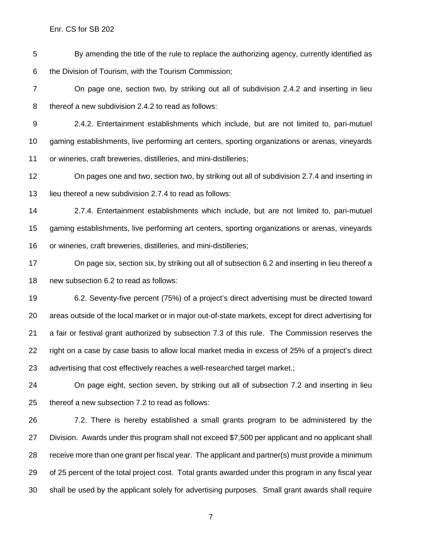By amending the title of the rule to replace the authorizing agency, currently identified as the Division of Tourism, with the Tourism Commission;

 On page one, section two, by striking out all of subdivision 2.4.2 and inserting in lieu thereof a new subdivision 2.4.2 to read as follows:

 2.4.2. Entertainment establishments which include, but are not limited to, pari-mutuel gaming establishments, live performing art centers, sporting organizations or arenas, vineyards or wineries, craft breweries, distilleries, and mini-distilleries;

 On pages one and two, section two, by striking out all of subdivision 2.7.4 and inserting in lieu thereof a new subdivision 2.7.4 to read as follows:

 2.7.4. Entertainment establishments which include, but are not limited to, pari-mutuel gaming establishments, live performing art centers, sporting organizations or arenas, vineyards or wineries, craft breweries, distilleries, and mini-distilleries;

 On page six, section six, by striking out all of subsection 6.2 and inserting in lieu thereof a new subsection 6.2 to read as follows:

 6.2. Seventy-five percent (75%) of a project's direct advertising must be directed toward areas outside of the local market or in major out-of-state markets, except for direct advertising for a fair or festival grant authorized by subsection 7.3 of this rule. The Commission reserves the right on a case by case basis to allow local market media in excess of 25% of a project's direct advertising that cost effectively reaches a well-researched target market.;

 On page eight, section seven, by striking out all of subsection 7.2 and inserting in lieu thereof a new subsection 7.2 to read as follows:

 7.2. There is hereby established a small grants program to be administered by the Division. Awards under this program shall not exceed \$7,500 per applicant and no applicant shall receive more than one grant per fiscal year. The applicant and partner(s) must provide a minimum of 25 percent of the total project cost. Total grants awarded under this program in any fiscal year shall be used by the applicant solely for advertising purposes. Small grant awards shall require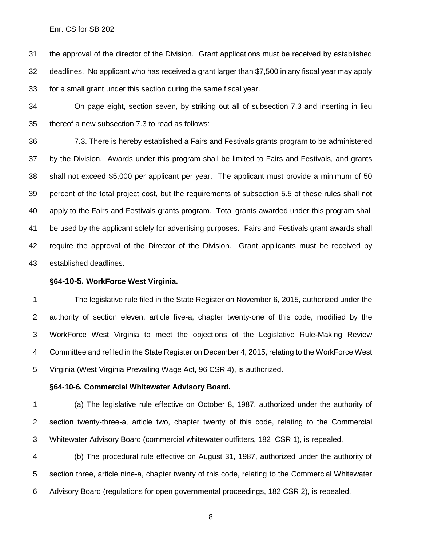the approval of the director of the Division. Grant applications must be received by established deadlines. No applicant who has received a grant larger than \$7,500 in any fiscal year may apply for a small grant under this section during the same fiscal year.

 On page eight, section seven, by striking out all of subsection 7.3 and inserting in lieu thereof a new subsection 7.3 to read as follows:

 7.3. There is hereby established a Fairs and Festivals grants program to be administered by the Division. Awards under this program shall be limited to Fairs and Festivals, and grants shall not exceed \$5,000 per applicant per year. The applicant must provide a minimum of 50 percent of the total project cost, but the requirements of subsection 5.5 of these rules shall not apply to the Fairs and Festivals grants program. Total grants awarded under this program shall be used by the applicant solely for advertising purposes. Fairs and Festivals grant awards shall require the approval of the Director of the Division. Grant applicants must be received by established deadlines.

#### **§64-10-5. WorkForce West Virginia.**

 The legislative rule filed in the State Register on November 6, 2015, authorized under the authority of section eleven, article five-a, chapter twenty-one of this code, modified by the WorkForce West Virginia to meet the objections of the Legislative Rule-Making Review Committee and refiled in the State Register on December 4, 2015, relating to the WorkForce West Virginia (West Virginia Prevailing Wage Act, 96 [CSR](http://apps.sos.wv.gov/adlaw/csr/readfile.aspx?DocId=27337&Format=PDF) 4), is authorized.

#### **§64-10-6. Commercial Whitewater Advisory Board.**

 (a) The legislative rule effective on October 8, 1987, authorized under the authority of section twenty-three-a, article two, chapter twenty of this code, relating to the Commercial Whitewater Advisory Board (commercial whitewater outfitters, 182 CSR 1), is repealed.

 (b) The procedural rule effective on August 31, 1987, authorized under the authority of section three, article nine-a, chapter twenty of this code, relating to the Commercial Whitewater Advisory Board (regulations for open governmental proceedings, 182 CSR 2), is repealed.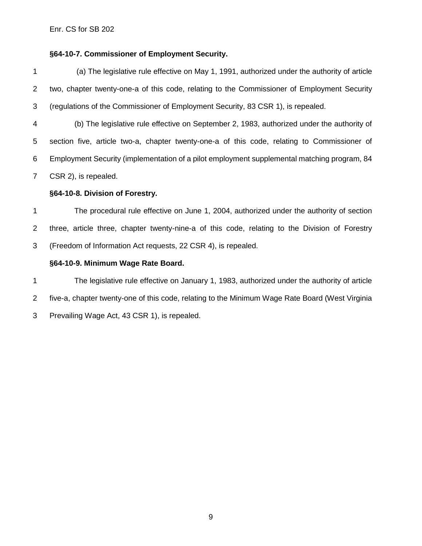## **§64-10-7. Commissioner of Employment Security.**

 (a) The legislative rule effective on May 1, 1991, authorized under the authority of article two, chapter twenty-one-a of this code, relating to the Commissioner of Employment Security (regulations of the Commissioner of Employment Security, 83 CSR 1), is repealed.

 (b) The legislative rule effective on September 2, 1983, authorized under the authority of section five, article two-a, chapter twenty-one-a of this code, relating to Commissioner of Employment Security (implementation of a pilot employment supplemental matching program, 84 CSR 2), is repealed.

## **§64-10-8. Division of Forestry.**

 The procedural rule effective on June 1, 2004, authorized under the authority of section three, article three, chapter twenty-nine-a of this code, relating to the Division of Forestry (Freedom of Information Act requests, 22 CSR 4), is repealed.

# **§64-10-9. Minimum Wage Rate Board.**

 The legislative rule effective on January 1, 1983, authorized under the authority of article five-a, chapter twenty-one of this code, relating to the Minimum Wage Rate Board (West Virginia Prevailing Wage Act, 43 CSR 1), is repealed.